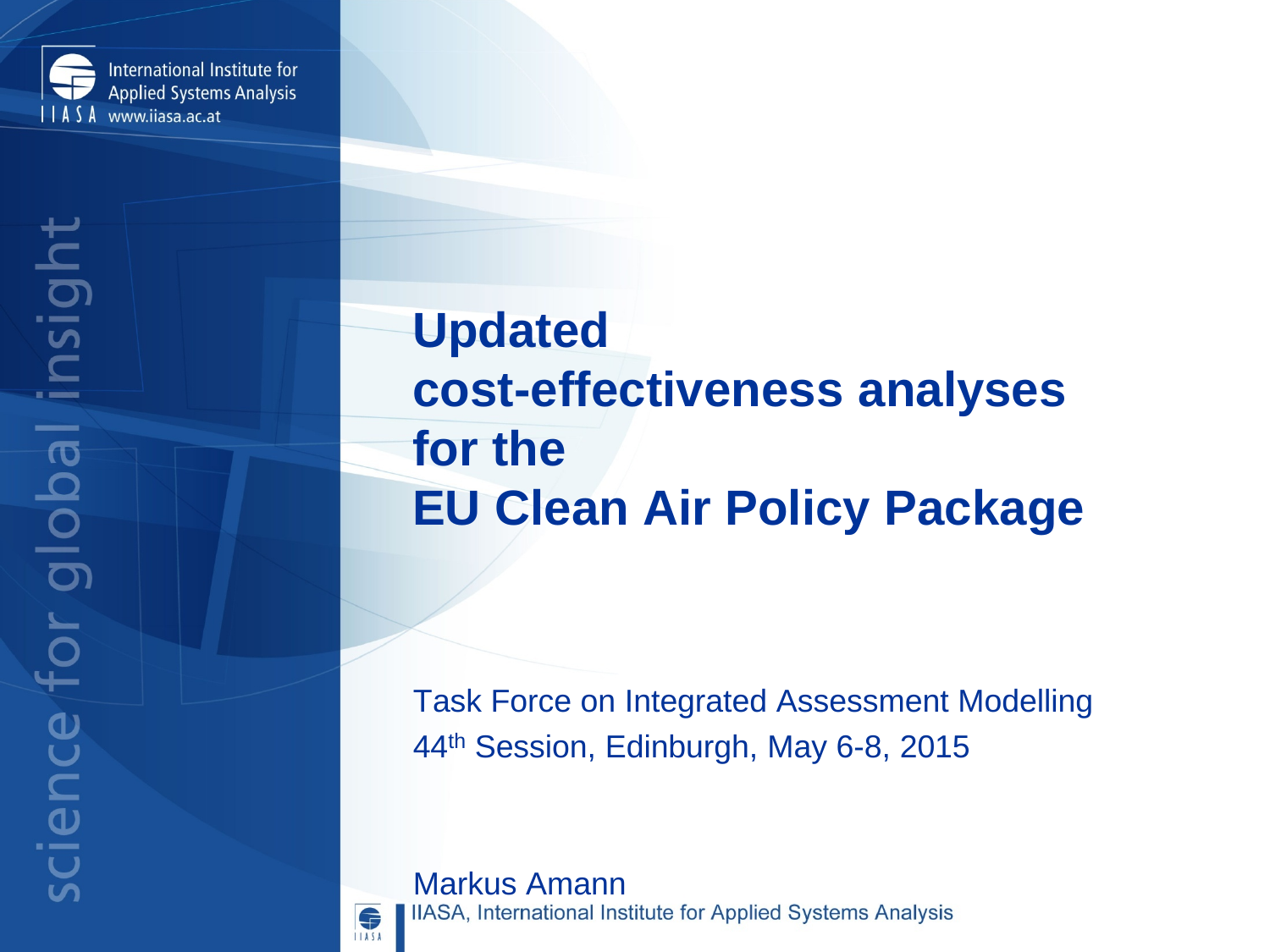

# **Updated cost-effectiveness analyses for the EU Clean Air Policy Package**

Task Force on Integrated Assessment Modelling 44th Session, Edinburgh, May 6-8, 2015

**Markus Amann**<br>IIASA, International Institute for Applied Systems Analysis

6 **ILASA**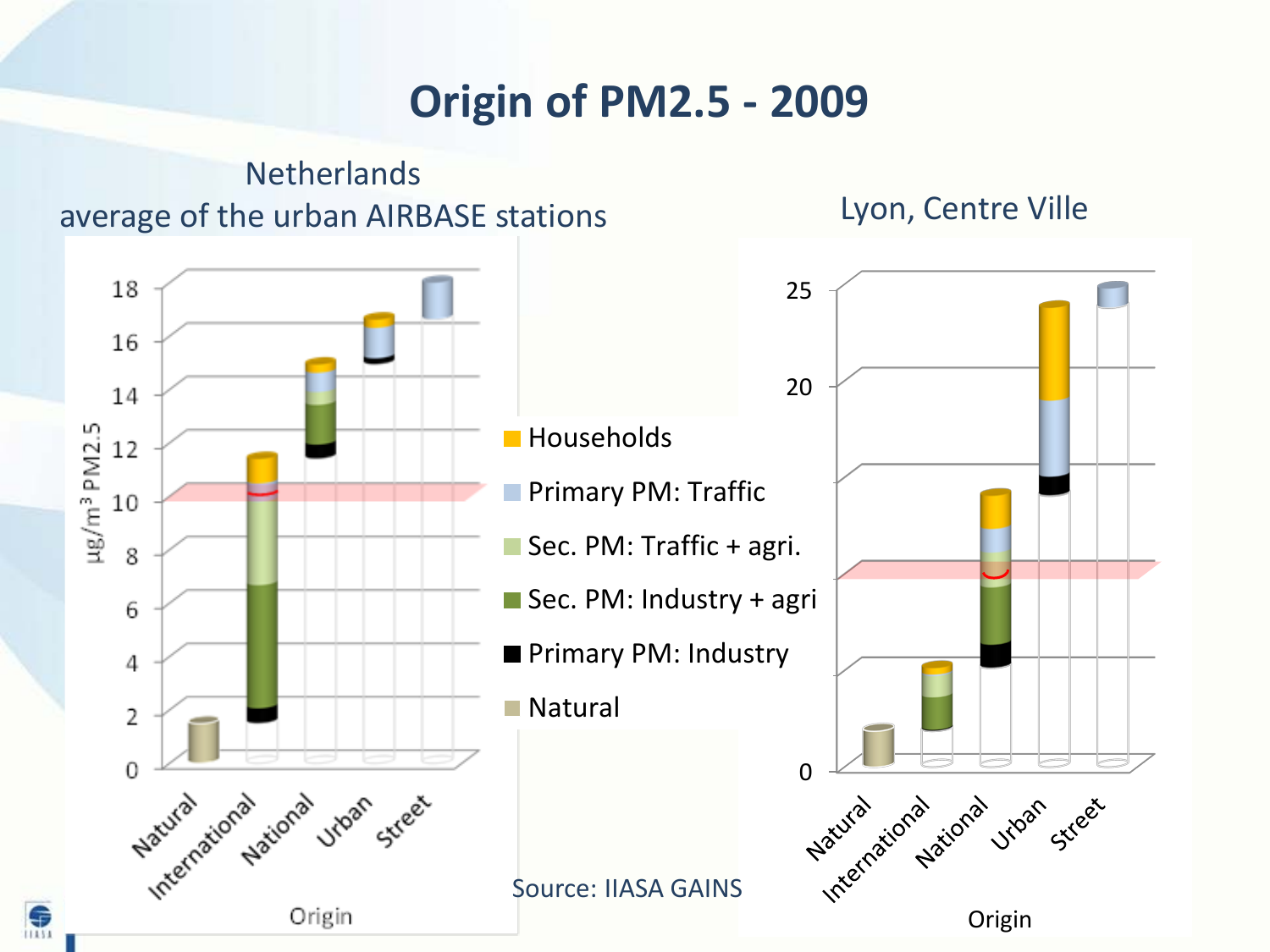#### **Origin of PM2.5 - 2009**

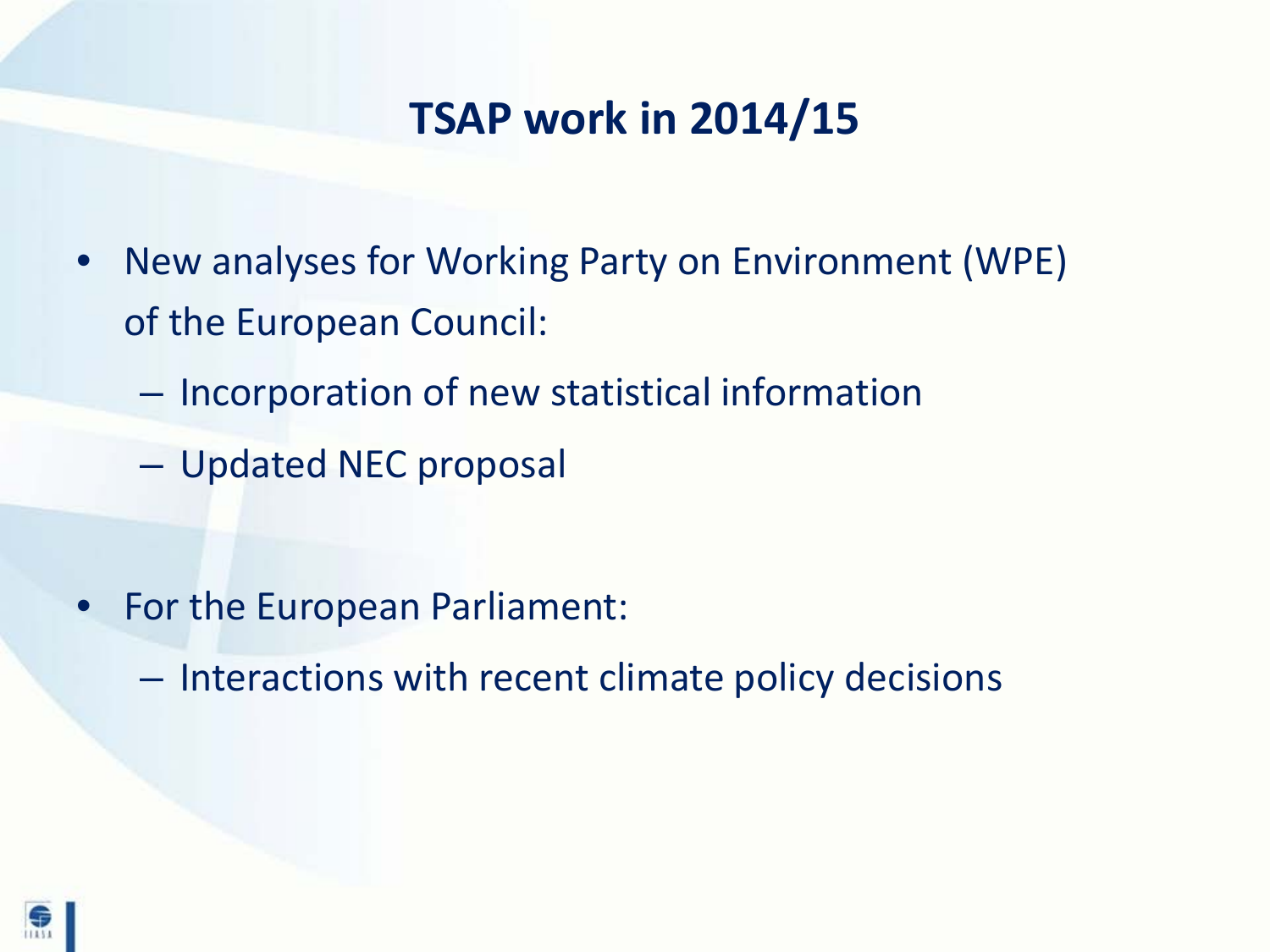#### **TSAP work in 2014/15**

- New analyses for Working Party on Environment (WPE) of the European Council:
	- Incorporation of new statistical information
	- Updated NEC proposal

- For the European Parliament:
	- Interactions with recent climate policy decisions

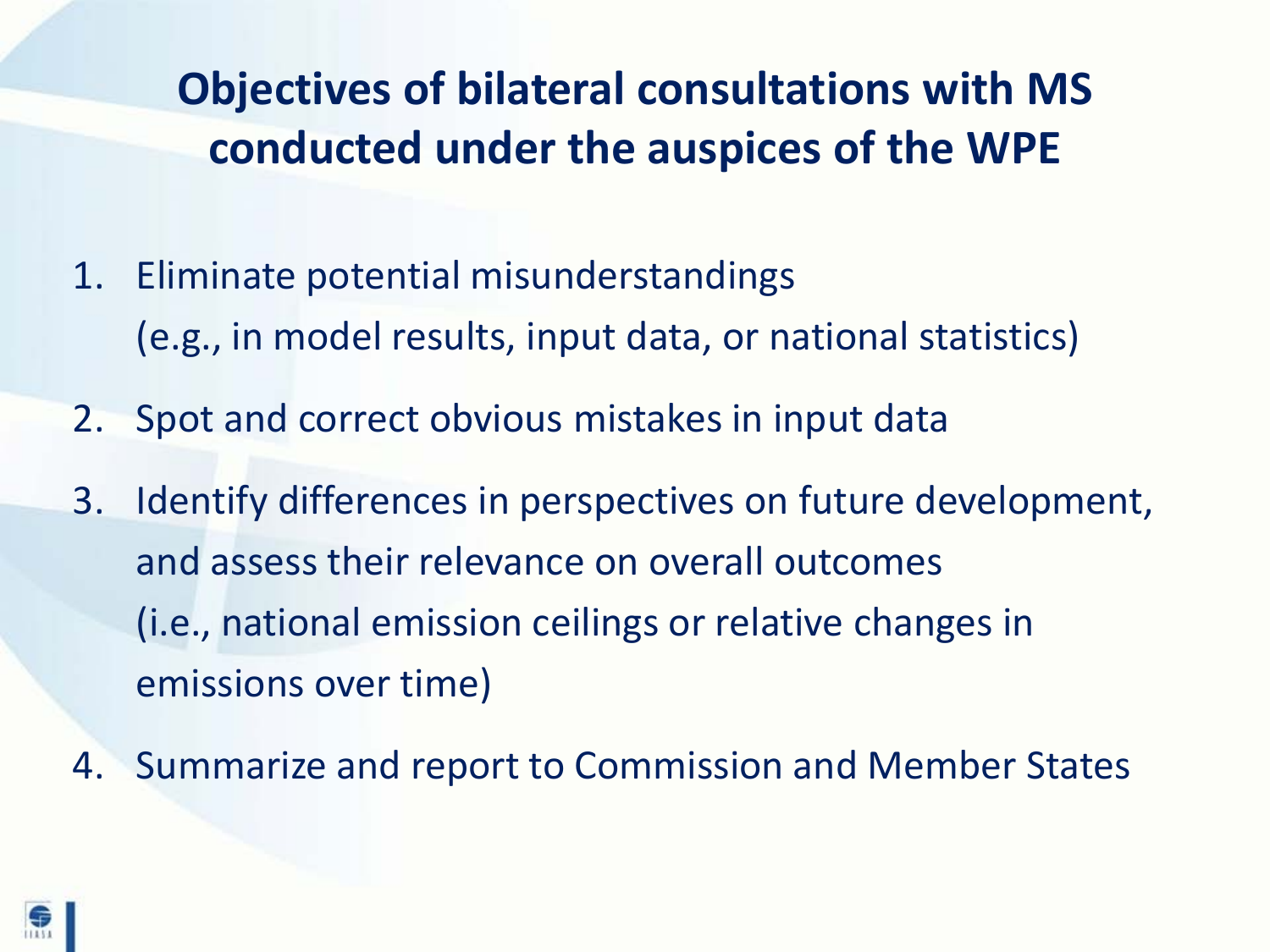## **Objectives of bilateral consultations with MS conducted under the auspices of the WPE**

- 1. Eliminate potential misunderstandings (e.g., in model results, input data, or national statistics)
- 2. Spot and correct obvious mistakes in input data
- 3. Identify differences in perspectives on future development, and assess their relevance on overall outcomes (i.e., national emission ceilings or relative changes in emissions over time)
- 4. Summarize and report to Commission and Member States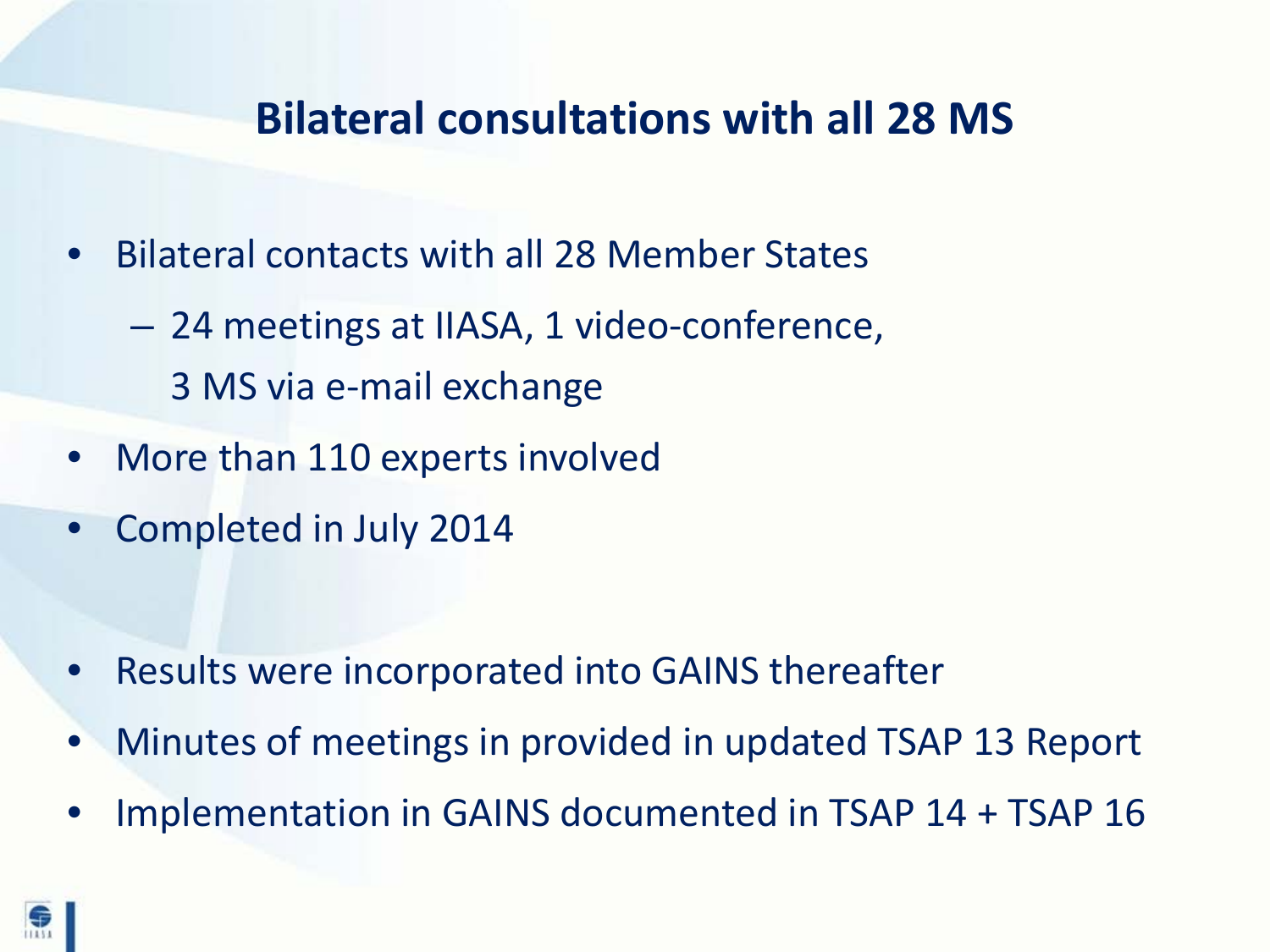#### **Bilateral consultations with all 28 MS**

- Bilateral contacts with all 28 Member States
	- 24 meetings at IIASA, 1 video-conference, 3 MS via e-mail exchange
- More than 110 experts involved
- Completed in July 2014

- Results were incorporated into GAINS thereafter
- Minutes of meetings in provided in updated TSAP 13 Report
- Implementation in GAINS documented in TSAP 14 + TSAP 16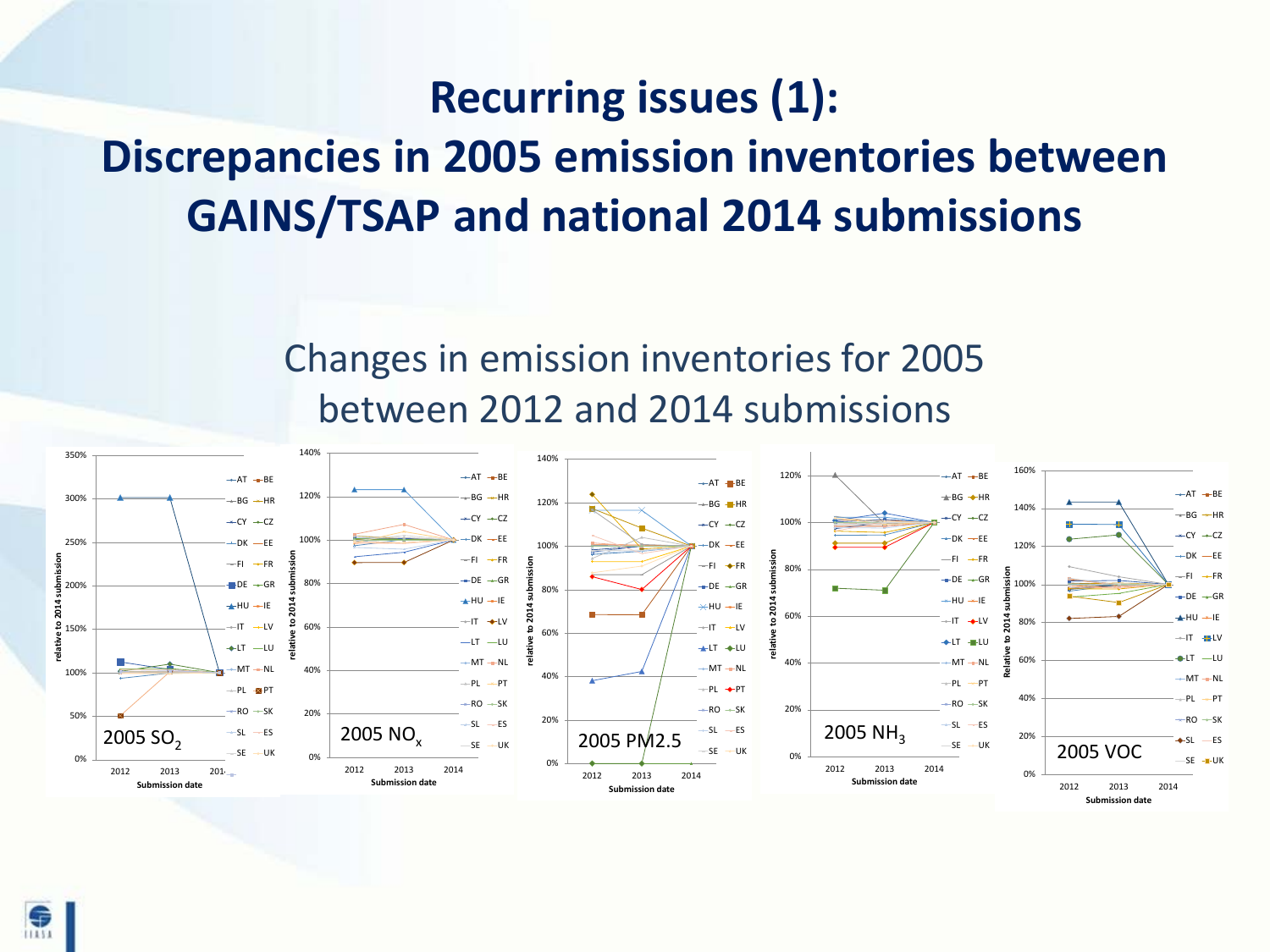## **Recurring issues (1): Discrepancies in 2005 emission inventories between GAINS/TSAP and national 2014 submissions**

#### Changes in emission inventories for 2005 between 2012 and 2014 submissions

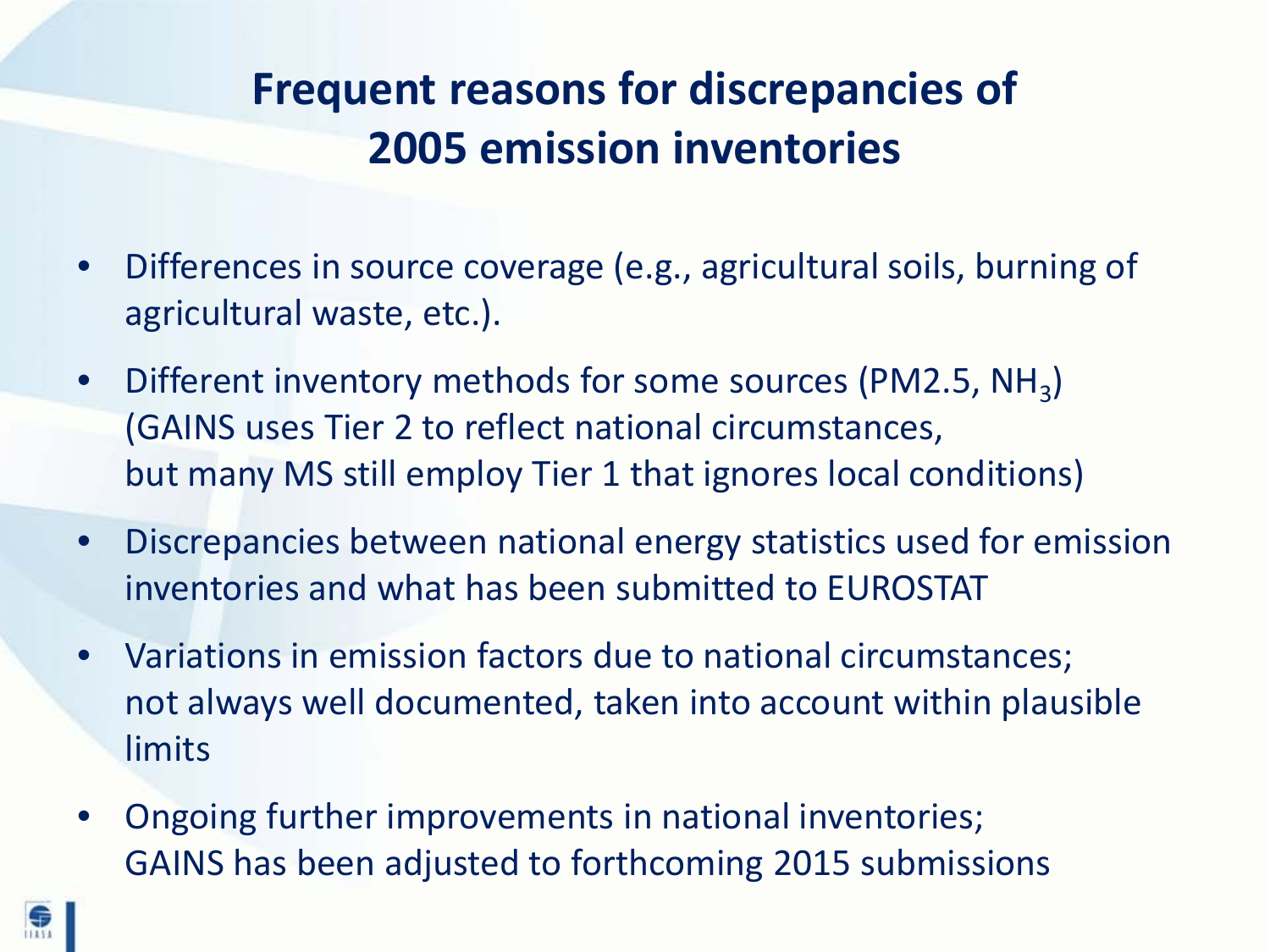## **Frequent reasons for discrepancies of 2005 emission inventories**

- Differences in source coverage (e.g., agricultural soils, burning of agricultural waste, etc.).
- Different inventory methods for some sources (PM2.5, NH<sub>3</sub>) (GAINS uses Tier 2 to reflect national circumstances, but many MS still employ Tier 1 that ignores local conditions)
- Discrepancies between national energy statistics used for emission inventories and what has been submitted to EUROSTAT
- Variations in emission factors due to national circumstances; not always well documented, taken into account within plausible limits
- Ongoing further improvements in national inventories; GAINS has been adjusted to forthcoming 2015 submissions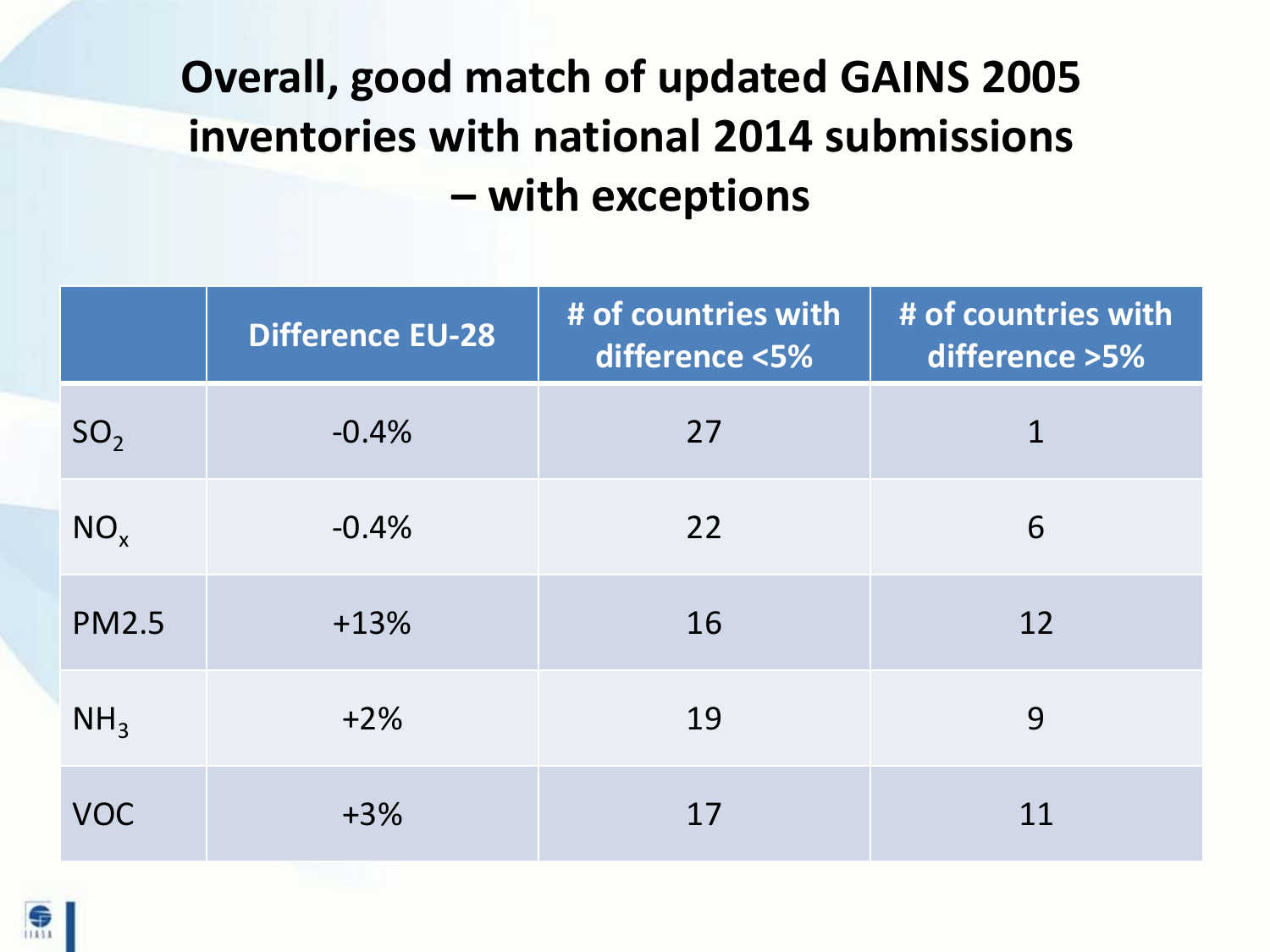# **Overall, good match of updated GAINS 2005 inventories with national 2014 submissions – with exceptions**

|                 | <b>Difference EU-28</b> | # of countries with<br>difference <5% | # of countries with<br>difference > 5% |
|-----------------|-------------------------|---------------------------------------|----------------------------------------|
| SO <sub>2</sub> | $-0.4%$                 | 27                                    | 1                                      |
| $NO_{x}$        | $-0.4%$                 | 22                                    | 6                                      |
| <b>PM2.5</b>    | $+13%$                  | 16                                    | 12                                     |
| NH <sub>3</sub> | $+2%$                   | 19                                    | 9                                      |
| <b>VOC</b>      | $+3%$                   | 17                                    | 11                                     |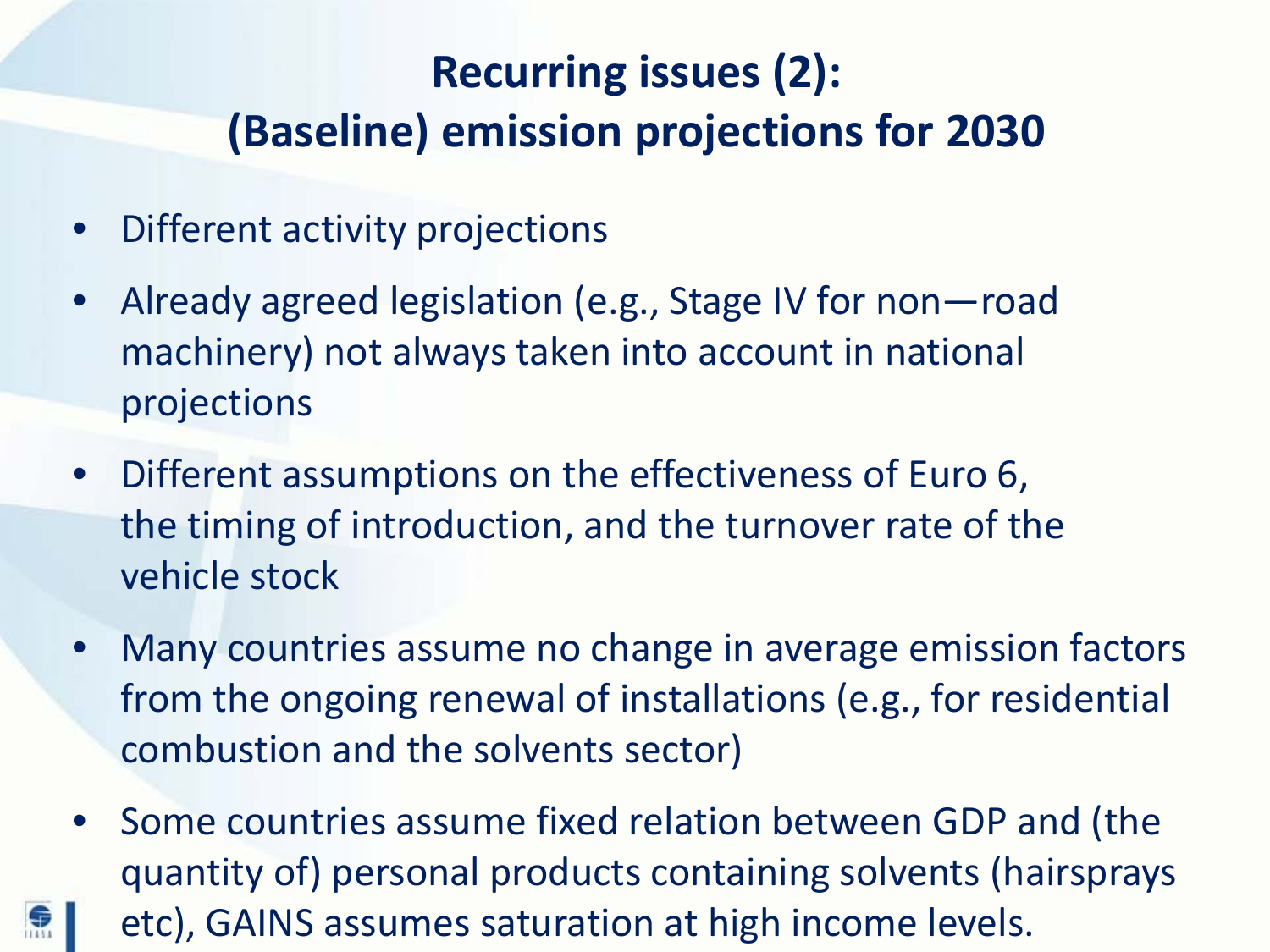## **Recurring issues (2): (Baseline) emission projections for 2030**

• Different activity projections

魚

- Already agreed legislation (e.g., Stage IV for non-road machinery) not always taken into account in national projections
- Different assumptions on the effectiveness of Euro 6, the timing of introduction, and the turnover rate of the vehicle stock
- Many countries assume no change in average emission factors from the ongoing renewal of installations (e.g., for residential combustion and the solvents sector)
- Some countries assume fixed relation between GDP and (the quantity of) personal products containing solvents (hairsprays etc), GAINS assumes saturation at high income levels.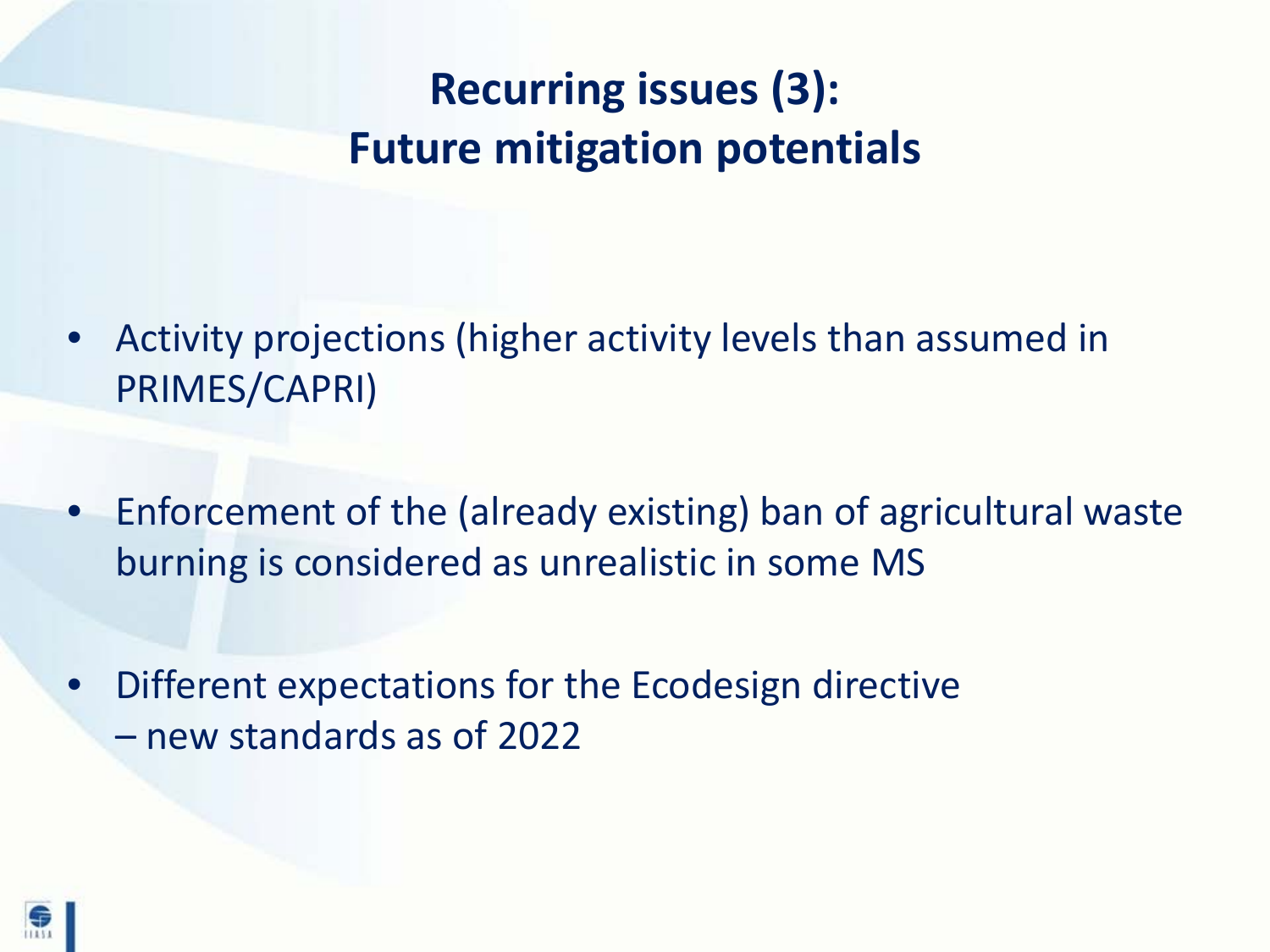## **Recurring issues (3): Future mitigation potentials**

- Activity projections (higher activity levels than assumed in PRIMES/CAPRI)
- Enforcement of the (already existing) ban of agricultural waste burning is considered as unrealistic in some MS
- Different expectations for the Ecodesign directive – new standards as of 2022

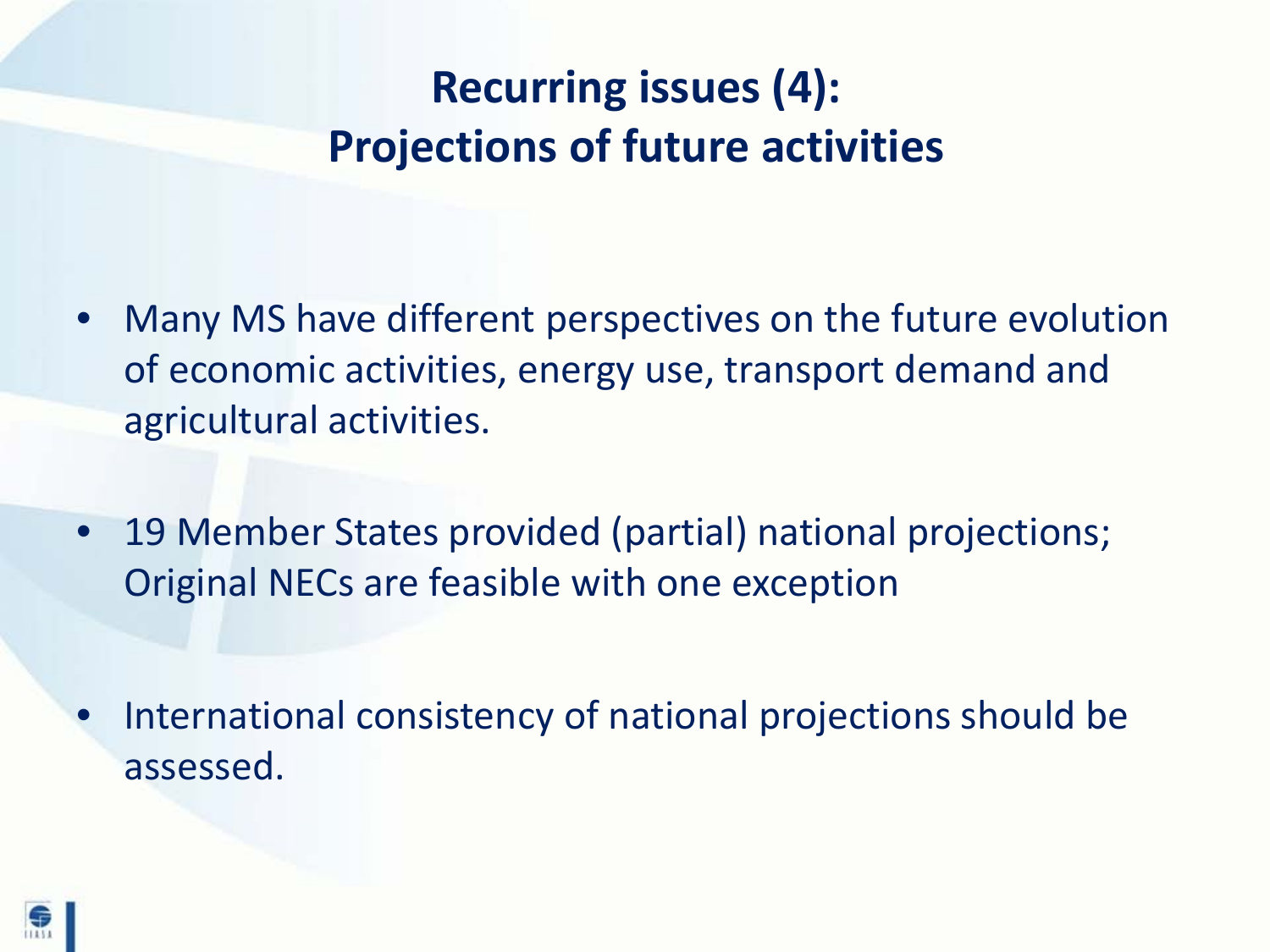## **Recurring issues (4): Projections of future activities**

- Many MS have different perspectives on the future evolution of economic activities, energy use, transport demand and agricultural activities.
- 19 Member States provided (partial) national projections; Original NECs are feasible with one exception
- International consistency of national projections should be assessed.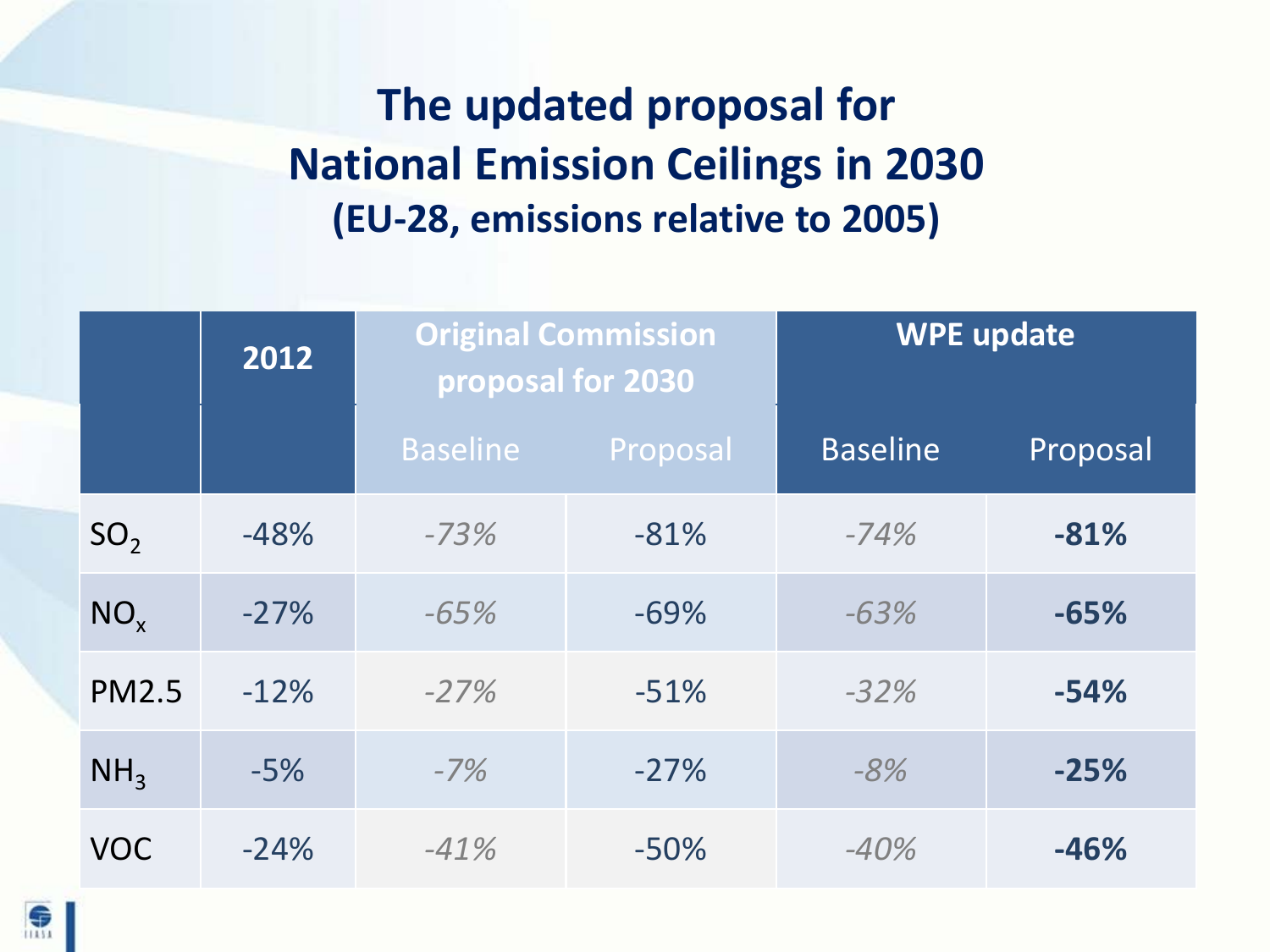## **The updated proposal for National Emission Ceilings in 2030 (EU-28, emissions relative to 2005)**

|                 | 2012   | <b>Original Commission</b><br>proposal for 2030 |          | <b>WPE update</b> |          |
|-----------------|--------|-------------------------------------------------|----------|-------------------|----------|
|                 |        | <b>Baseline</b>                                 | Proposal | <b>Baseline</b>   | Proposal |
| SO <sub>2</sub> | $-48%$ | $-73%$                                          | $-81%$   | $-74%$            | $-81%$   |
| $NO_{x}$        | $-27%$ | $-65%$                                          | $-69%$   | $-63%$            | $-65%$   |
| <b>PM2.5</b>    | $-12%$ | $-27%$                                          | $-51%$   | $-32%$            | $-54%$   |
| NH <sub>3</sub> | $-5%$  | $-7%$                                           | $-27%$   | $-8%$             | $-25%$   |
| <b>VOC</b>      | $-24%$ | $-41%$                                          | $-50%$   | $-40%$            | $-46%$   |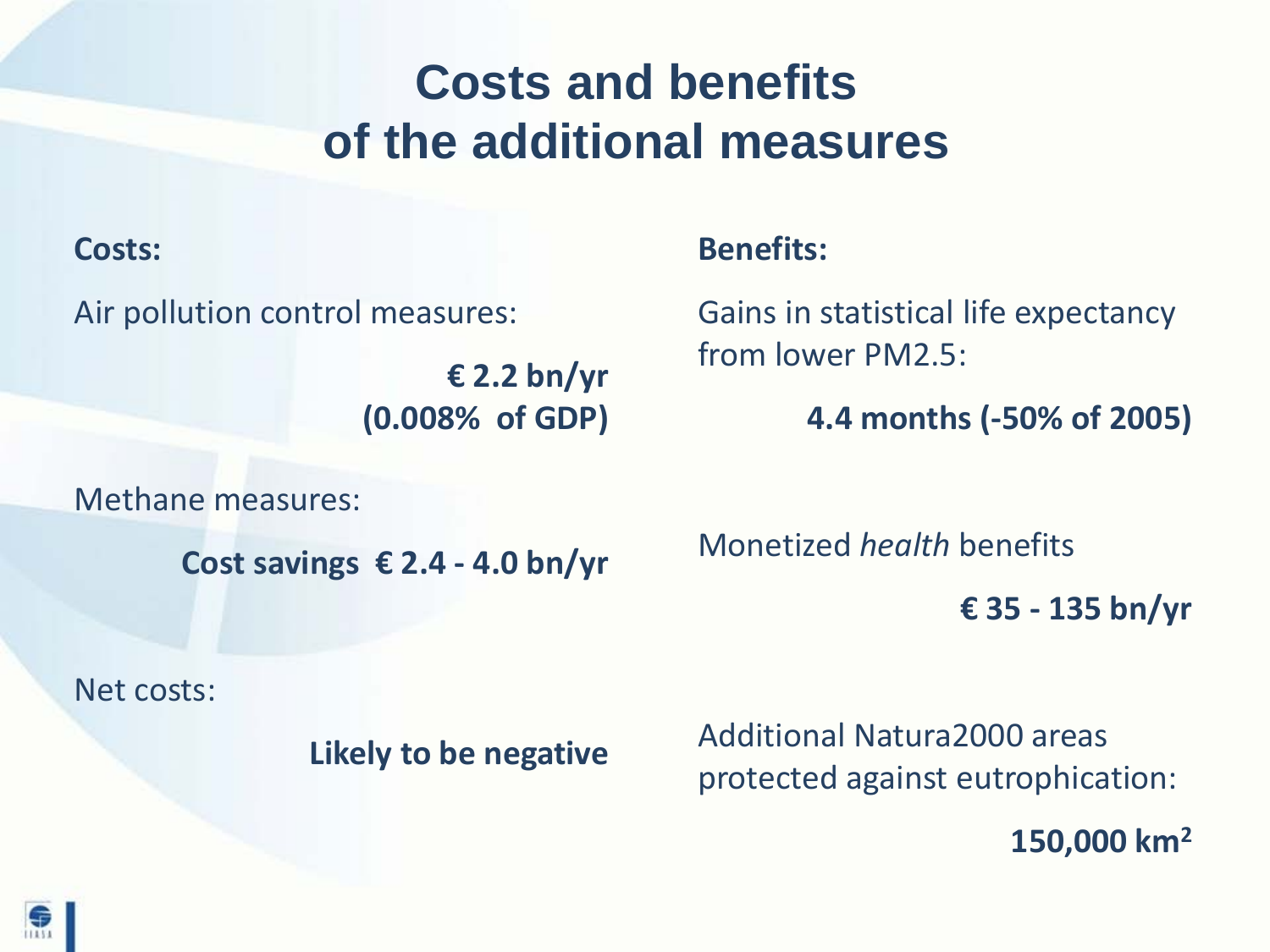# **Costs and benefits of the additional measures**

#### **Costs:**

Air pollution control measures:

**€ 2.2 bn/yr (0.008% of GDP)**

Methane measures:

**Cost savings € 2.4 - 4.0 bn/yr**

Net costs:

**Likely to be negative**

**Benefits:**

Gains in statistical life expectancy from lower PM2.5:

**4.4 months (-50% of 2005)**

Monetized *health* benefits

**€ 35 - 135 bn/yr**

Additional Natura2000 areas protected against eutrophication:

**150,000 km2**

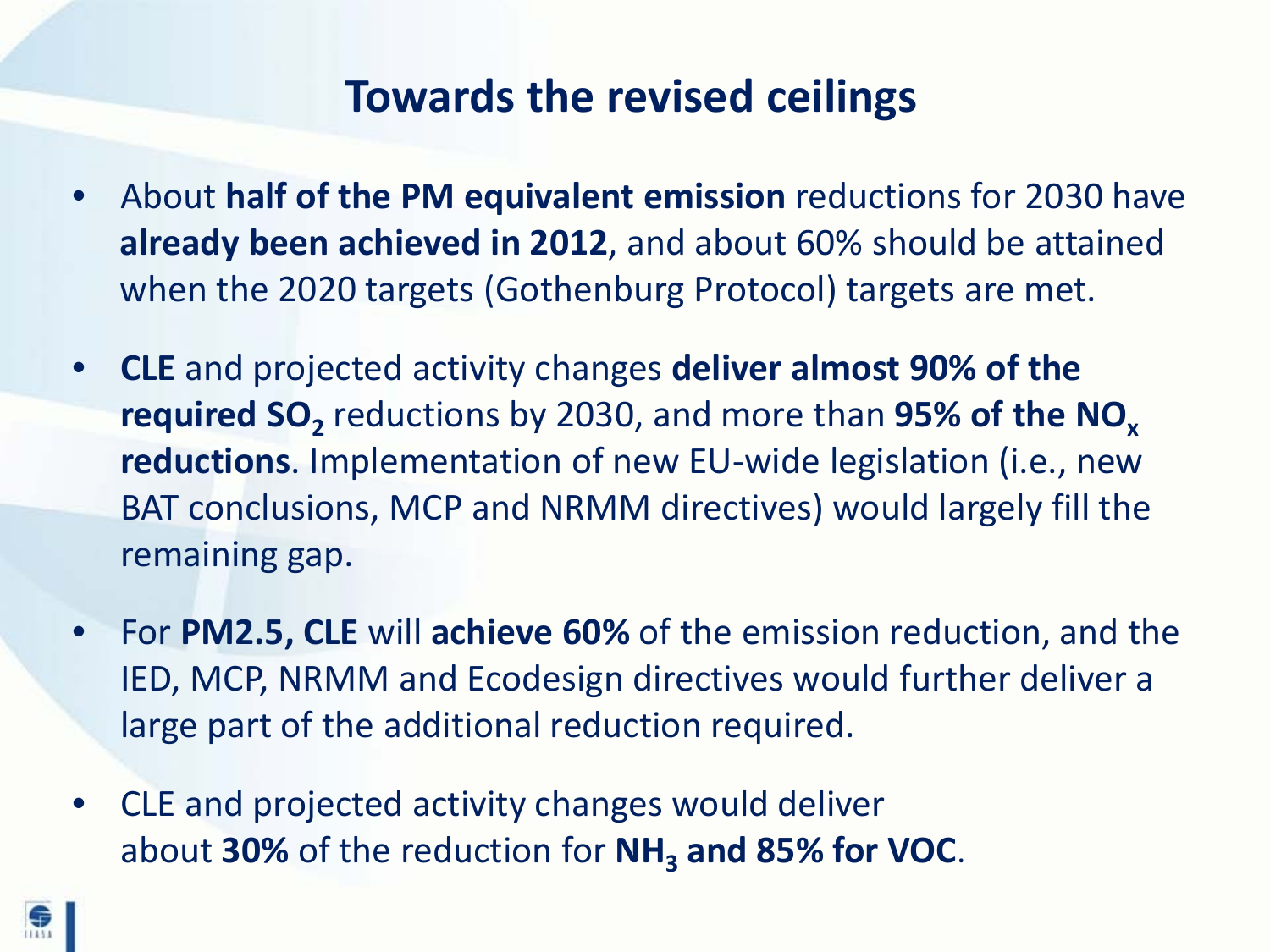#### **Towards the revised ceilings**

- About **half of the PM equivalent emission** reductions for 2030 have **already been achieved in 2012**, and about 60% should be attained when the 2020 targets (Gothenburg Protocol) targets are met.
- **CLE** and projected activity changes **deliver almost 90% of the required SO**<sub>2</sub> reductions by 2030, and more than 95% of the NO<sub>x</sub> **reductions**. Implementation of new EU-wide legislation (i.e., new BAT conclusions, MCP and NRMM directives) would largely fill the remaining gap.
- For **PM2.5, CLE** will **achieve 60%** of the emission reduction, and the IED, MCP, NRMM and Ecodesign directives would further deliver a large part of the additional reduction required.
- CLE and projected activity changes would deliver about **30%** of the reduction for **NH3 and 85% for VOC**.

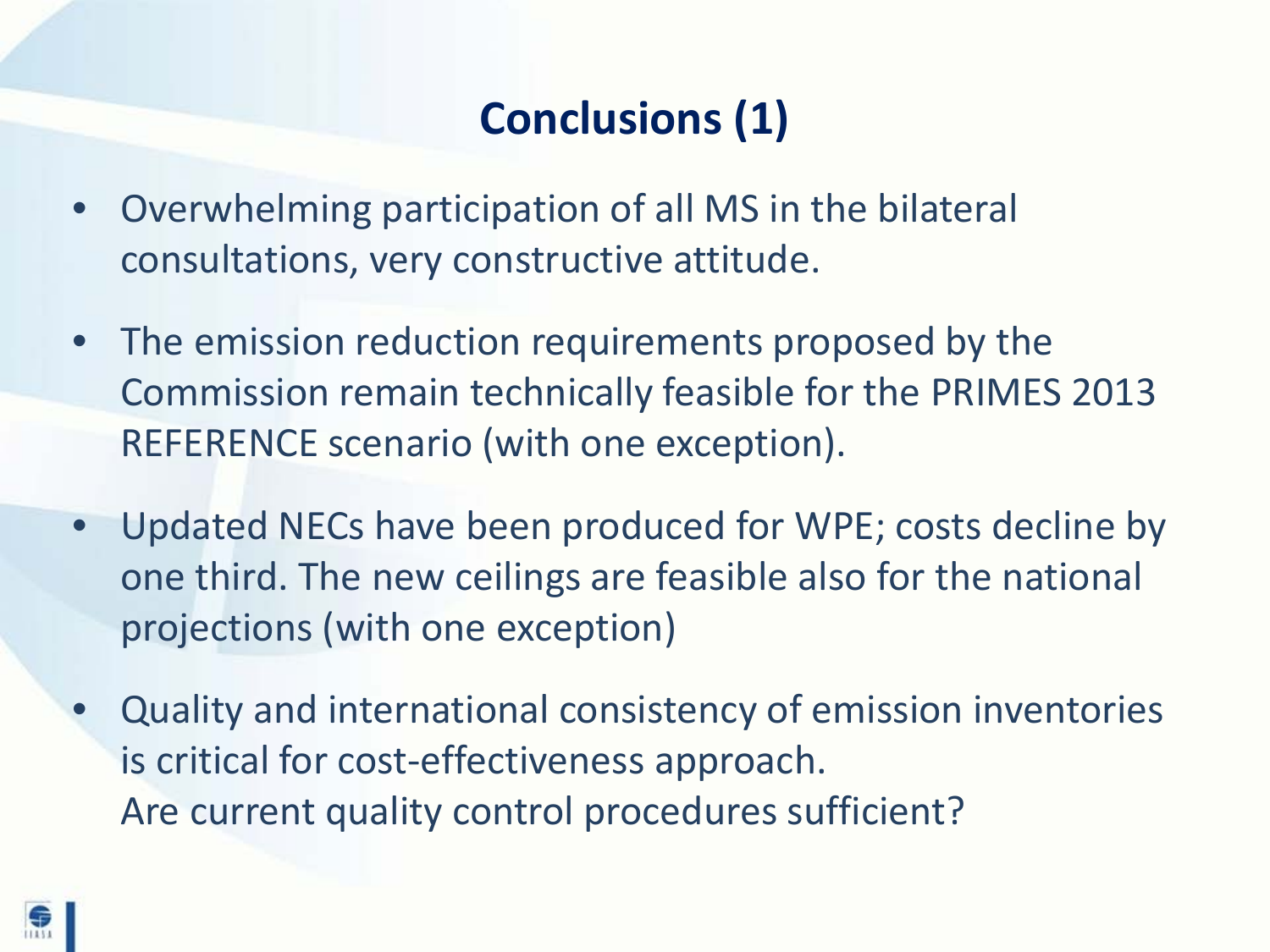## **Conclusions (1)**

- Overwhelming participation of all MS in the bilateral consultations, very constructive attitude.
- The emission reduction requirements proposed by the Commission remain technically feasible for the PRIMES 2013 REFERENCE scenario (with one exception).
- Updated NECs have been produced for WPE; costs decline by one third. The new ceilings are feasible also for the national projections (with one exception)
- Quality and international consistency of emission inventories is critical for cost-effectiveness approach. Are current quality control procedures sufficient?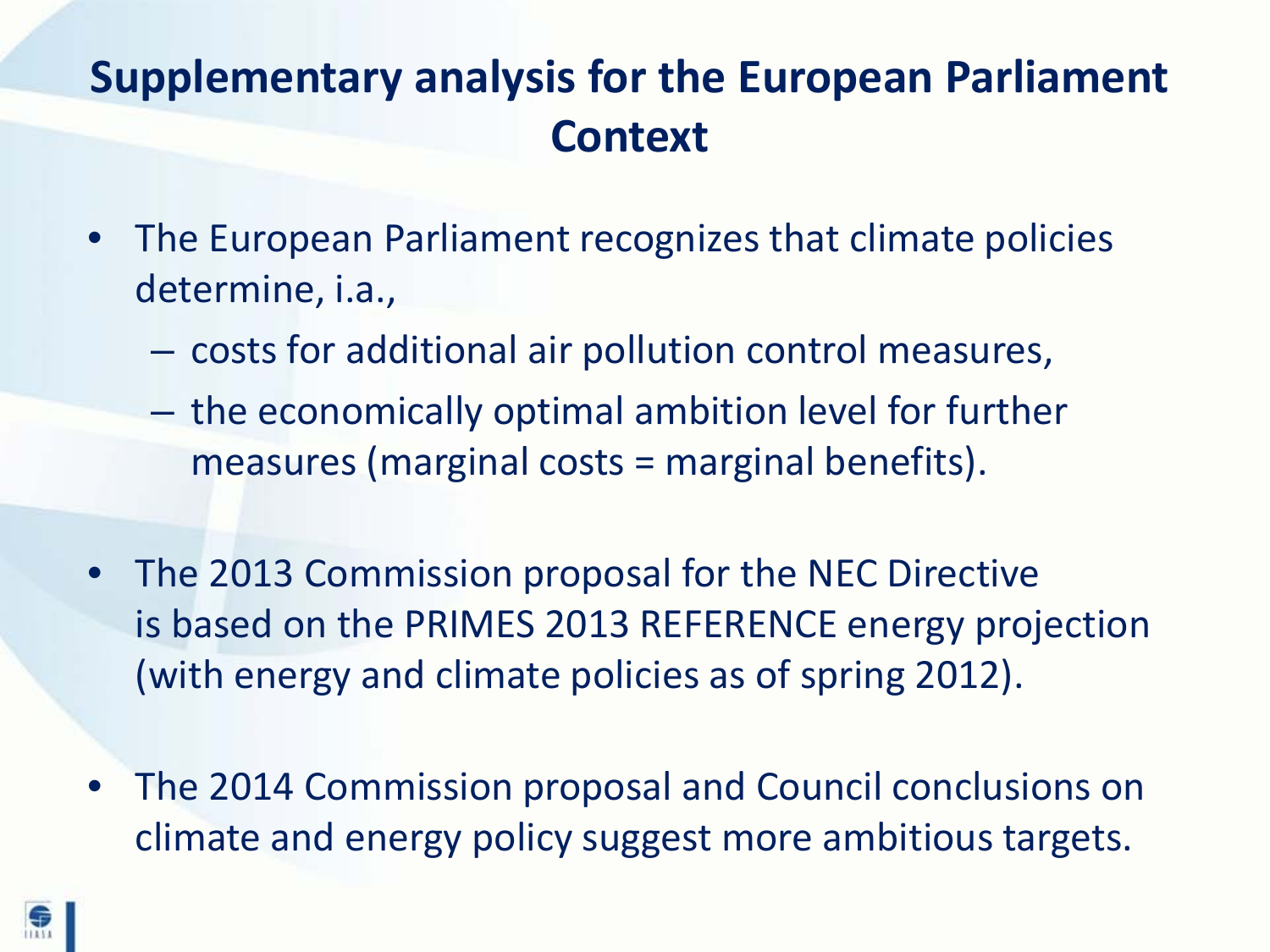### **Supplementary analysis for the European Parliament Context**

- The European Parliament recognizes that climate policies determine, i.a.,
	- costs for additional air pollution control measures,
	- the economically optimal ambition level for further measures (marginal costs = marginal benefits).
- The 2013 Commission proposal for the NEC Directive is based on the PRIMES 2013 REFERENCE energy projection (with energy and climate policies as of spring 2012).
- The 2014 Commission proposal and Council conclusions on climate and energy policy suggest more ambitious targets.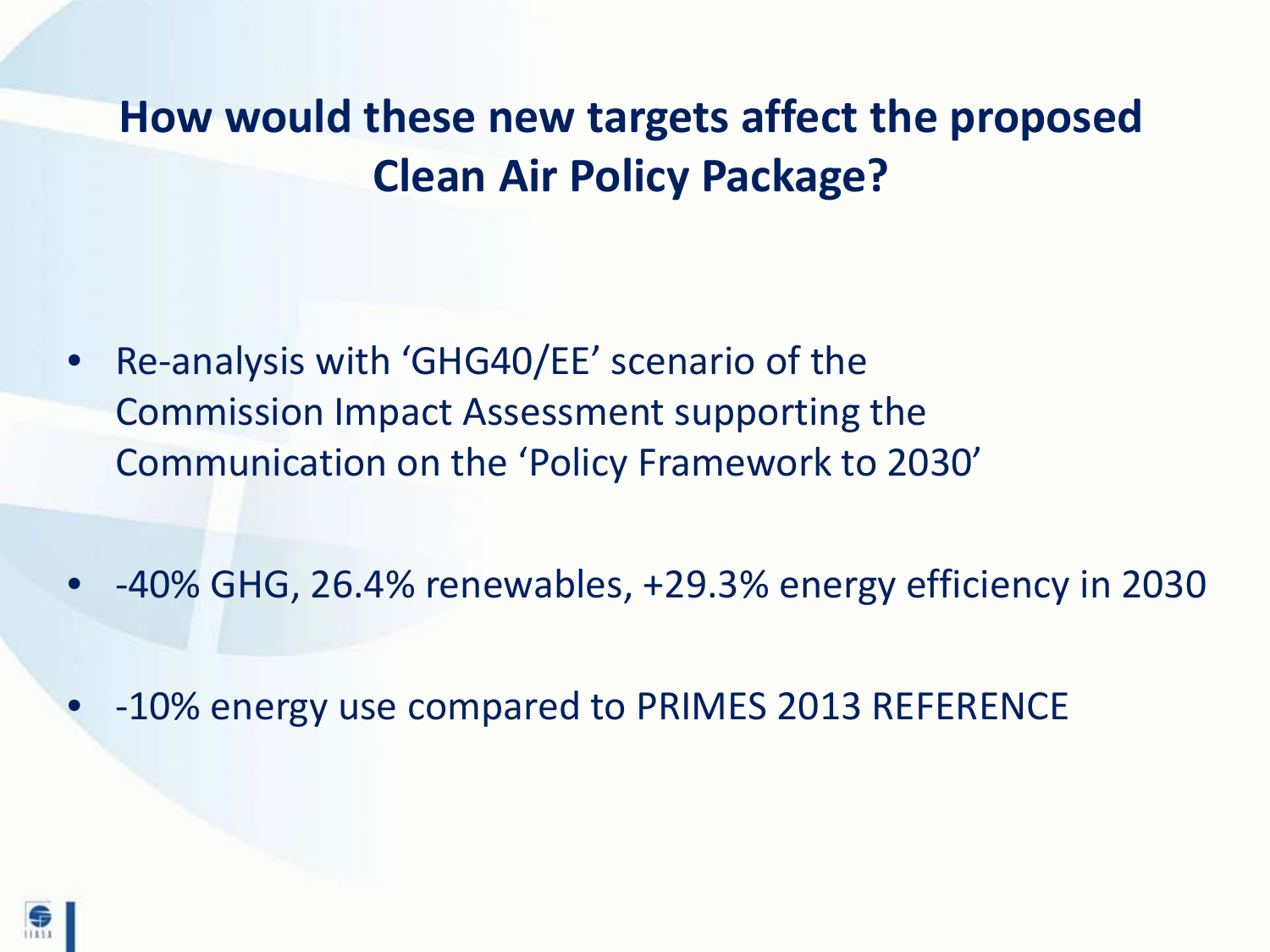### **How would these new targets affect the proposed Clean Air Policy Package?**

- Re-analysis with 'GHG40/EE' scenario of the Commission Impact Assessment supporting the Communication on the 'Policy Framework to 2030'
- -40% GHG, 26.4% renewables, +29.3% energy efficiency in 2030
- -10% energy use compared to PRIMES 2013 REFERENCE

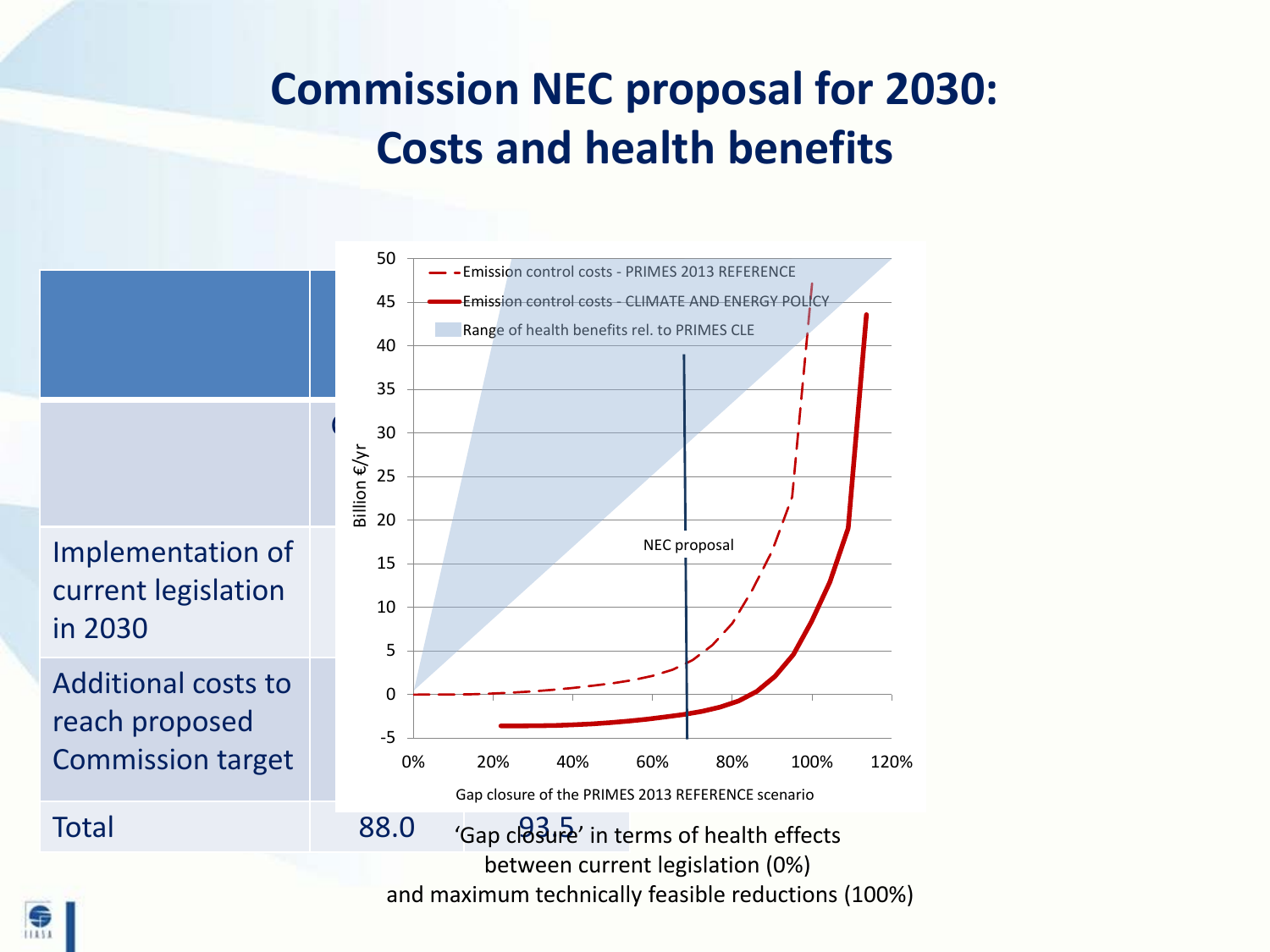### **Commission NEC proposal for 2030: Costs and health benefits**

Implementation of current legislation in 2030

Additional costs to reach proposed Commission target



and maximum technically feasible reductions (100%)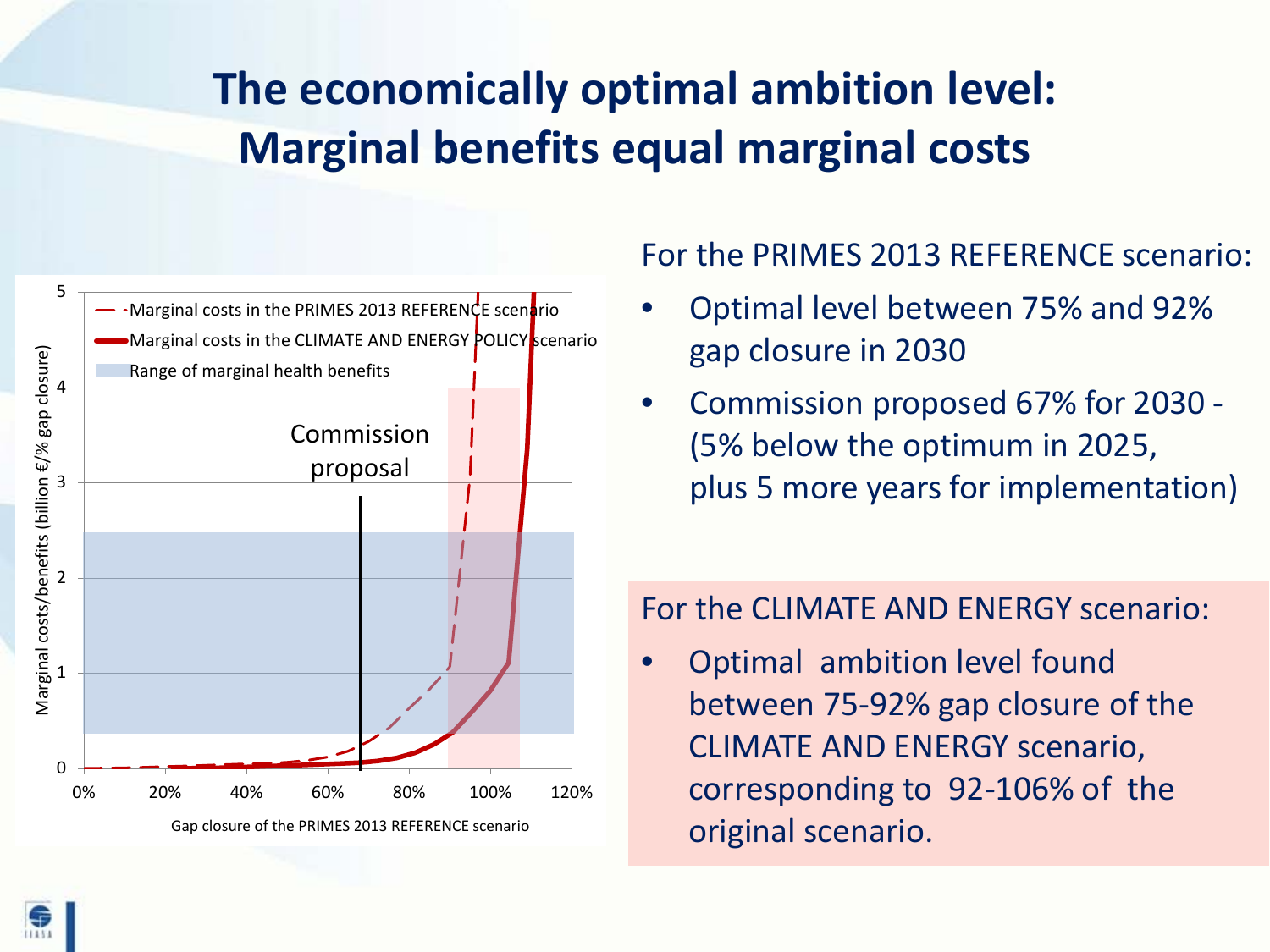## **The economically optimal ambition level: Marginal benefits equal marginal costs**



#### For the PRIMES 2013 REFERENCE scenario:

- Optimal level between 75% and 92% gap closure in 2030
- Commission proposed 67% for 2030 (5% below the optimum in 2025, plus 5 more years for implementation)

#### For the CLIMATE AND ENERGY scenario:

• Optimal ambition level found between 75-92% gap closure of the CLIMATE AND ENERGY scenario, corresponding to 92-106% of the original scenario.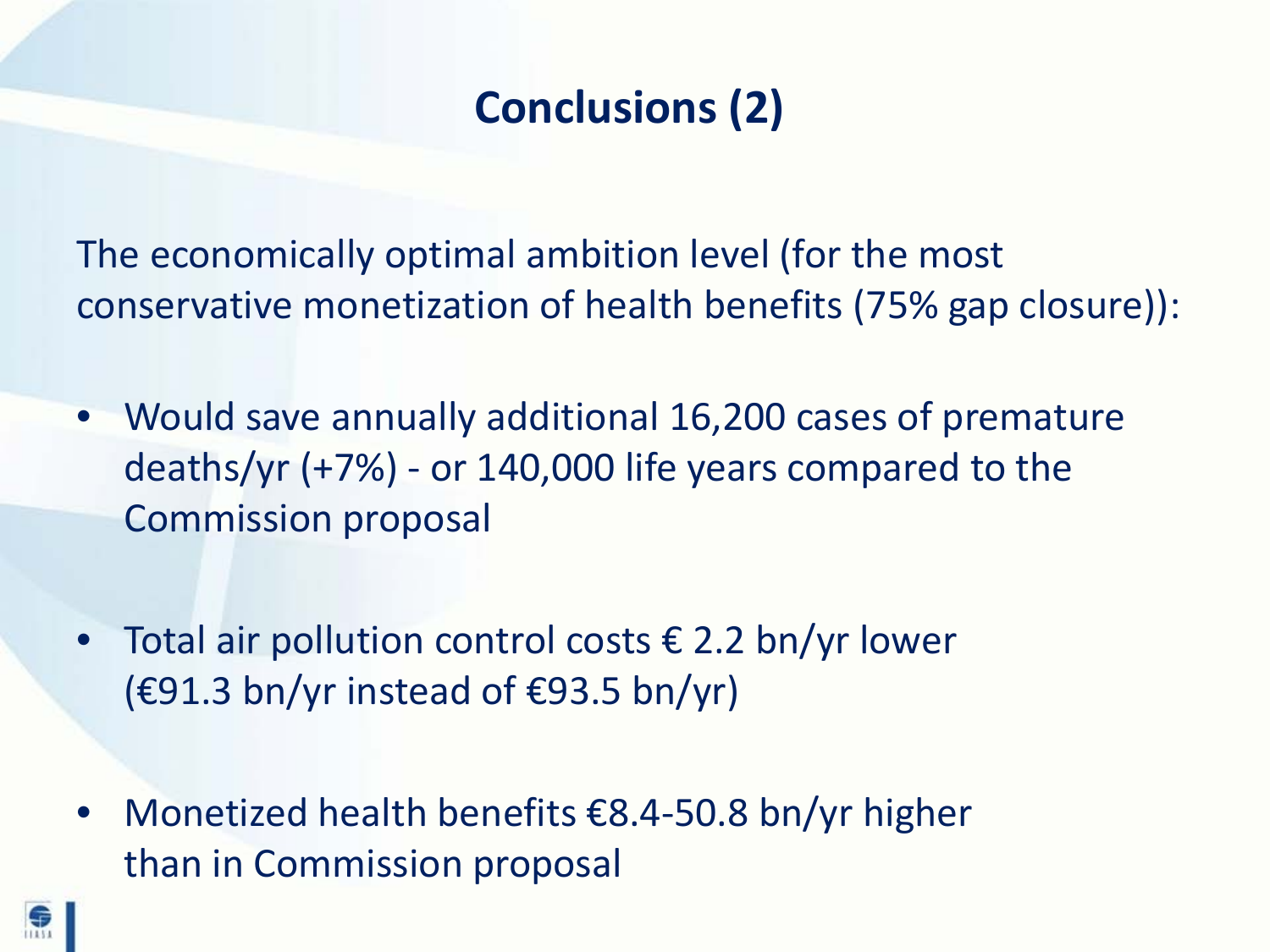## **Conclusions (2)**

The economically optimal ambition level (for the most conservative monetization of health benefits (75% gap closure)):

- Would save annually additional 16,200 cases of premature deaths/yr (+7%) - or 140,000 life years compared to the Commission proposal
- Total air pollution control costs  $\epsilon$  2.2 bn/yr lower  $(£91.3 \text{ bn/yr instead of } €93.5 \text{ bn/yr})$
- Monetized health benefits €8.4-50.8 bn/yr higher than in Commission proposal